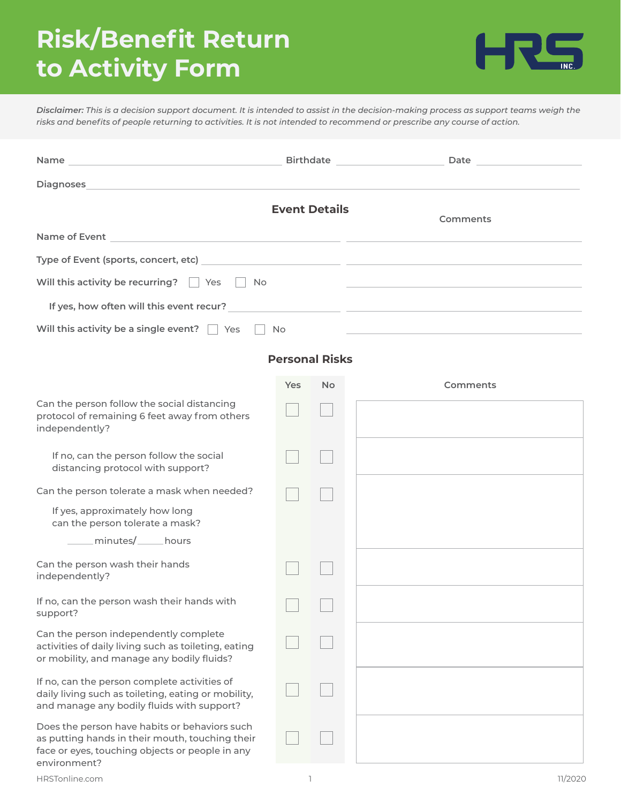# **Risk/Benefit Return to Activity Form**



*Disclaimer: This is a decision support document. It is intended to assist in the decision-making process as support teams weigh the risks and benefits of people returning to activities. It is not intended to recommend or prescribe any course of action.*

|                                                                                                                                                                     |                                                       |           | Birthdate Date Date                                                                                                   |  |  |  |
|---------------------------------------------------------------------------------------------------------------------------------------------------------------------|-------------------------------------------------------|-----------|-----------------------------------------------------------------------------------------------------------------------|--|--|--|
| <b>Diagnoses</b><br>,我们也不能在这里,我们也不能在这里的时候,我们也不能会不能会不能会不能会不能会不能会不能会。""我们的人们,我们也不能会不能会不能会不能会不能会不能会不能会不                                                                |                                                       |           |                                                                                                                       |  |  |  |
|                                                                                                                                                                     | <b>Event Details</b>                                  |           | Comments                                                                                                              |  |  |  |
|                                                                                                                                                                     |                                                       |           |                                                                                                                       |  |  |  |
|                                                                                                                                                                     |                                                       |           |                                                                                                                       |  |  |  |
| Will this activity be recurring?<br>$ $ Yes<br>No                                                                                                                   |                                                       |           | <u> 1990 - Johann Barbara, martin amerikan basar dan berasal dalam basar dalam basar dalam basar dalam basar dala</u> |  |  |  |
| If yes, how often will this event recur?                                                                                                                            |                                                       |           | <u> 1989 - Andrea Andrew Alexander (h. 1989)</u>                                                                      |  |  |  |
| Will this activity be a single event? Ves<br>No                                                                                                                     |                                                       |           |                                                                                                                       |  |  |  |
| <b>Personal Risks</b>                                                                                                                                               |                                                       |           |                                                                                                                       |  |  |  |
|                                                                                                                                                                     | Yes                                                   | <b>No</b> | Comments                                                                                                              |  |  |  |
| Can the person follow the social distancing<br>protocol of remaining 6 feet away from others<br>independently?                                                      |                                                       |           |                                                                                                                       |  |  |  |
| If no, can the person follow the social<br>distancing protocol with support?                                                                                        |                                                       |           |                                                                                                                       |  |  |  |
| Can the person tolerate a mask when needed?                                                                                                                         |                                                       |           |                                                                                                                       |  |  |  |
| If yes, approximately how long<br>can the person tolerate a mask?                                                                                                   |                                                       |           |                                                                                                                       |  |  |  |
| _____ minutes/_____ hours                                                                                                                                           |                                                       |           |                                                                                                                       |  |  |  |
| Can the person wash their hands<br>independently?                                                                                                                   |                                                       |           |                                                                                                                       |  |  |  |
| If no, can the person wash their hands with<br>support?                                                                                                             | $\overline{\phantom{a}}$ and $\overline{\phantom{a}}$ |           |                                                                                                                       |  |  |  |
| Can the person independently complete<br>activities of daily living such as toileting, eating<br>or mobility, and manage any bodily fluids?                         |                                                       |           |                                                                                                                       |  |  |  |
| If no, can the person complete activities of<br>daily living such as toileting, eating or mobility,<br>and manage any bodily fluids with support?                   |                                                       |           |                                                                                                                       |  |  |  |
| Does the person have habits or behaviors such<br>as putting hands in their mouth, touching their<br>face or eyes, touching objects or people in any<br>environment? |                                                       |           |                                                                                                                       |  |  |  |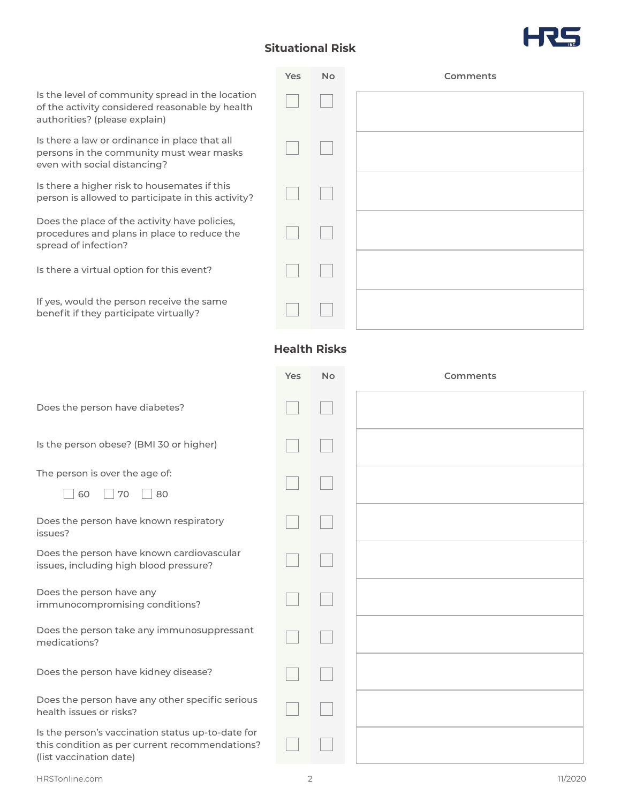# **Situational Risk**

**Yes No**



**Comments**

| Is the level of community spread in the location<br>of the activity considered reasonable by health<br>authorities? (please explain) |                     |           |          |
|--------------------------------------------------------------------------------------------------------------------------------------|---------------------|-----------|----------|
| Is there a law or ordinance in place that all<br>persons in the community must wear masks<br>even with social distancing?            |                     |           |          |
| Is there a higher risk to housemates if this<br>person is allowed to participate in this activity?                                   |                     |           |          |
| Does the place of the activity have policies,<br>procedures and plans in place to reduce the<br>spread of infection?                 |                     |           |          |
| Is there a virtual option for this event?                                                                                            |                     |           |          |
| If yes, would the person receive the same<br>benefit if they participate virtually?                                                  |                     |           |          |
|                                                                                                                                      | <b>Health Risks</b> |           |          |
|                                                                                                                                      | Yes                 | <b>No</b> | Comments |
| Does the person have diabetes?                                                                                                       |                     |           |          |
| Is the person obese? (BMI 30 or higher)                                                                                              |                     |           |          |
| The person is over the age of:                                                                                                       |                     |           |          |
| 60<br>70<br>80                                                                                                                       |                     |           |          |
| Does the person have known respiratory<br>issues?                                                                                    |                     |           |          |
| Does the person have known cardiovascular<br>issues, including high blood pressure?                                                  |                     |           |          |
| Does the person have any<br>immunocompromising conditions?                                                                           |                     |           |          |
| Does the person take any immunosuppressant<br>medications?                                                                           |                     |           |          |
| Does the person have kidney disease?                                                                                                 |                     |           |          |
| Does the person have any other specific serious<br>health issues or risks?                                                           |                     |           |          |
| Is the person's vaccination status up-to-date for<br>this condition as per current recommendations?<br>(list vaccination date)       |                     |           |          |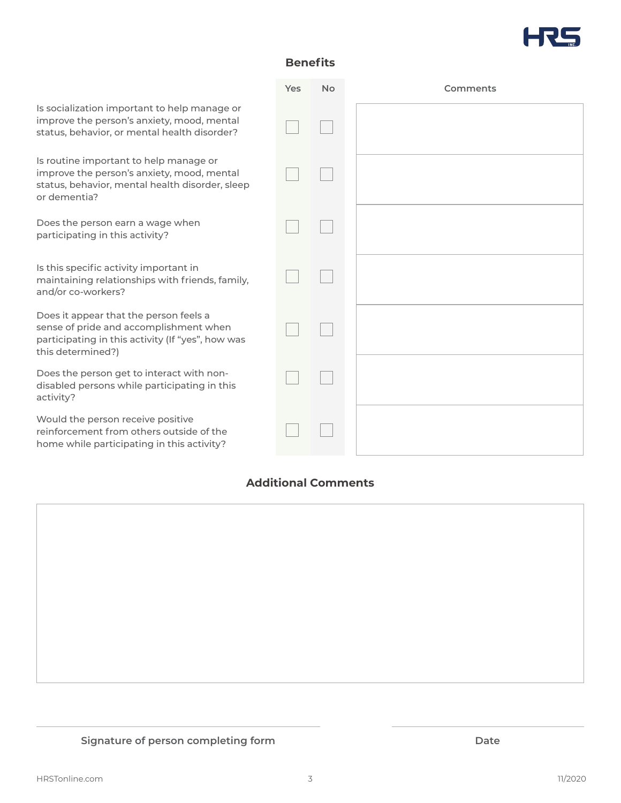

## **Benefits**

|                                                                                                                                                            | Yes | <b>No</b> | Comments |
|------------------------------------------------------------------------------------------------------------------------------------------------------------|-----|-----------|----------|
| Is socialization important to help manage or<br>improve the person's anxiety, mood, mental<br>status, behavior, or mental health disorder?                 |     |           |          |
| Is routine important to help manage or<br>improve the person's anxiety, mood, mental<br>status, behavior, mental health disorder, sleep<br>or dementia?    |     |           |          |
| Does the person earn a wage when<br>participating in this activity?                                                                                        |     |           |          |
| Is this specific activity important in<br>maintaining relationships with friends, family,<br>and/or co-workers?                                            |     |           |          |
| Does it appear that the person feels a<br>sense of pride and accomplishment when<br>participating in this activity (If "yes", how was<br>this determined?) |     |           |          |
| Does the person get to interact with non-<br>disabled persons while participating in this<br>activity?                                                     |     |           |          |
| Would the person receive positive<br>reinforcement from others outside of the<br>home while participating in this activity?                                |     |           |          |

# **Additional Comments**



## **Signature of person completing form Date**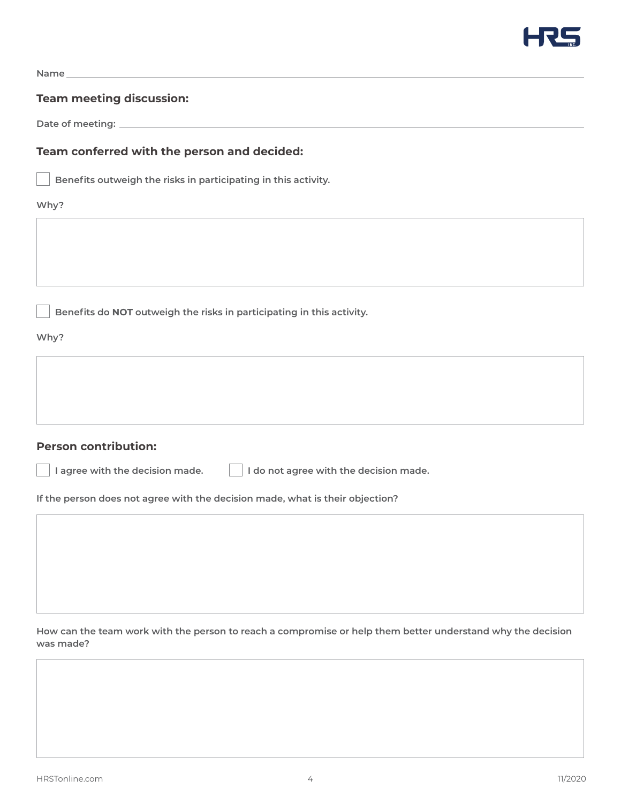

**Name**

#### **Team meeting discussion:**

**Date of meeting:**

### **Team conferred with the person and decided:**

**Benefits outweigh the risks in participating in this activity.**

#### **Why?**

**Benefits do NOT outweigh the risks in participating in this activity.**

**Why?**

#### **Person contribution:**

**I agree with the decision made. I do not agree with the decision made.**

**If the person does not agree with the decision made, what is their objection?**

**How can the team work with the person to reach a compromise or help them better understand why the decision was made?**